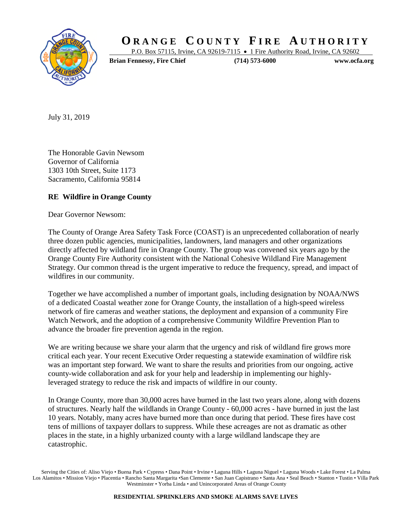

## **O R A N G E C O U N T Y F I R E A U T H O R I T Y**

P.O. Box 57115, Irvine, CA 92619-7115 • 1 Fire Authority Road, Irvine, CA 92602

**Brian Fennessy, Fire Chief (714) 573-6000 www.ocfa.org**

July 31, 2019

The Honorable Gavin Newsom Governor of California 1303 10th Street, Suite 1173 Sacramento, California 95814

## **RE Wildfire in Orange County**

Dear Governor Newsom:

The County of Orange Area Safety Task Force (COAST) is an unprecedented collaboration of nearly three dozen public agencies, municipalities, landowners, land managers and other organizations directly affected by wildland fire in Orange County. The group was convened six years ago by the Orange County Fire Authority consistent with the National Cohesive Wildland Fire Management Strategy. Our common thread is the urgent imperative to reduce the frequency, spread, and impact of wildfires in our community.

Together we have accomplished a number of important goals, including designation by NOAA/NWS of a dedicated Coastal weather zone for Orange County, the installation of a high-speed wireless network of fire cameras and weather stations, the deployment and expansion of a community Fire Watch Network, and the adoption of a comprehensive Community Wildfire Prevention Plan to advance the broader fire prevention agenda in the region.

We are writing because we share your alarm that the urgency and risk of wildland fire grows more critical each year. Your recent Executive Order requesting a statewide examination of wildfire risk was an important step forward. We want to share the results and priorities from our ongoing, active county-wide collaboration and ask for your help and leadership in implementing our highlyleveraged strategy to reduce the risk and impacts of wildfire in our county.

In Orange County, more than 30,000 acres have burned in the last two years alone, along with dozens of structures. Nearly half the wildlands in Orange County - 60,000 acres - have burned in just the last 10 years. Notably, many acres have burned more than once during that period. These fires have cost tens of millions of taxpayer dollars to suppress. While these acreages are not as dramatic as other places in the state, in a highly urbanized county with a large wildland landscape they are catastrophic.

Serving the Cities of: Aliso Viejo • Buena Park • Cypress • Dana Point • Irvine • Laguna Hills • Laguna Niguel • Laguna Woods • Lake Forest • La Palma Los Alamitos • Mission Viejo • Placentia • Rancho Santa Margarita • San Clemente • San Juan Capistrano • Santa Ana • Seal Beach • Stanton • Tustin • Villa Park Westminster • Yorba Linda • and Unincorporated Areas of Orange County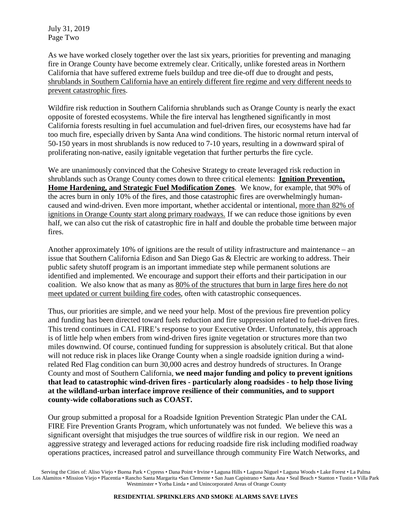July 31, 2019 Page Two

As we have worked closely together over the last six years, priorities for preventing and managing fire in Orange County have become extremely clear. Critically, unlike forested areas in Northern California that have suffered extreme fuels buildup and tree die-off due to drought and pests, shrublands in Southern California have an entirely different fire regime and very different needs to prevent catastrophic fires.

Wildfire risk reduction in Southern California shrublands such as Orange County is nearly the exact opposite of forested ecosystems. While the fire interval has lengthened significantly in most California forests resulting in fuel accumulation and fuel-driven fires, our ecosystems have had far too much fire, especially driven by Santa Ana wind conditions. The historic normal return interval of 50-150 years in most shrublands is now reduced to 7-10 years, resulting in a downward spiral of proliferating non-native, easily ignitable vegetation that further perturbs the fire cycle.

We are unanimously convinced that the Cohesive Strategy to create leveraged risk reduction in shrublands such as Orange County comes down to three critical elements: **Ignition Prevention, Home Hardening, and Strategic Fuel Modification Zones**. We know, for example, that 90% of the acres burn in only 10% of the fires, and those catastrophic fires are overwhelmingly humancaused and wind-driven. Even more important, whether accidental or intentional, more than 82% of ignitions in Orange County start along primary roadways. If we can reduce those ignitions by even half, we can also cut the risk of catastrophic fire in half and double the probable time between major fires.

Another approximately 10% of ignitions are the result of utility infrastructure and maintenance – an issue that Southern California Edison and San Diego Gas & Electric are working to address. Their public safety shutoff program is an important immediate step while permanent solutions are identified and implemented. We encourage and support their efforts and their participation in our coalition. We also know that as many as 80% of the structures that burn in large fires here do not meet updated or current building fire codes, often with catastrophic consequences.

Thus, our priorities are simple, and we need your help. Most of the previous fire prevention policy and funding has been directed toward fuels reduction and fire suppression related to fuel-driven fires. This trend continues in CAL FIRE's response to your Executive Order. Unfortunately, this approach is of little help when embers from wind-driven fires ignite vegetation or structures more than two miles downwind. Of course, continued funding for suppression is absolutely critical. But that alone will not reduce risk in places like Orange County when a single roadside ignition during a windrelated Red Flag condition can burn 30,000 acres and destroy hundreds of structures. In Orange County and most of Southern California, **we need major funding and policy to prevent ignitions that lead to catastrophic wind-driven fires - particularly along roadsides - to help those living at the wildland-urban interface improve resilience of their communities, and to support county-wide collaborations such as COAST.**

Our group submitted a proposal for a Roadside Ignition Prevention Strategic Plan under the CAL FIRE Fire Prevention Grants Program, which unfortunately was not funded. We believe this was a significant oversight that misjudges the true sources of wildfire risk in our region. We need an aggressive strategy and leveraged actions for reducing roadside fire risk including modified roadway operations practices, increased patrol and surveillance through community Fire Watch Networks, and

Serving the Cities of: Aliso Viejo • Buena Park • Cypress • Dana Point • Irvine • Laguna Hills • Laguna Niguel • Laguna Woods • Lake Forest • La Palma Los Alamitos • Mission Viejo • Placentia • Rancho Santa Margarita • San Clemente • San Juan Capistrano • Santa Ana • Seal Beach • Stanton • Tustin • Villa Park Westminster • Yorba Linda • and Unincorporated Areas of Orange County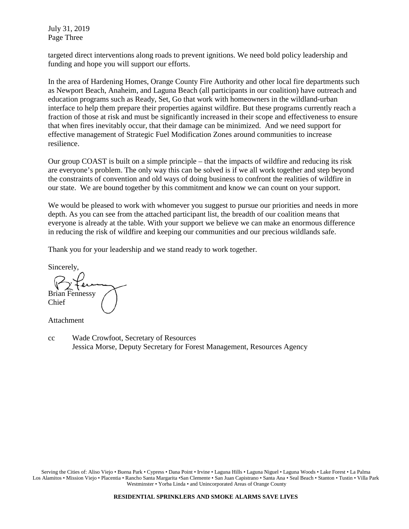July 31, 2019 Page Three

targeted direct interventions along roads to prevent ignitions. We need bold policy leadership and funding and hope you will support our efforts.

In the area of Hardening Homes, Orange County Fire Authority and other local fire departments such as Newport Beach, Anaheim, and Laguna Beach (all participants in our coalition) have outreach and education programs such as Ready, Set, Go that work with homeowners in the wildland-urban interface to help them prepare their properties against wildfire. But these programs currently reach a fraction of those at risk and must be significantly increased in their scope and effectiveness to ensure that when fires inevitably occur, that their damage can be minimized. And we need support for effective management of Strategic Fuel Modification Zones around communities to increase resilience.

Our group COAST is built on a simple principle – that the impacts of wildfire and reducing its risk are everyone's problem. The only way this can be solved is if we all work together and step beyond the constraints of convention and old ways of doing business to confront the realities of wildfire in our state. We are bound together by this commitment and know we can count on your support.

We would be pleased to work with whomever you suggest to pursue our priorities and needs in more depth. As you can see from the attached participant list, the breadth of our coalition means that everyone is already at the table. With your support we believe we can make an enormous difference in reducing the risk of wildfire and keeping our communities and our precious wildlands safe.

Thank you for your leadership and we stand ready to work together.

Sincerely,

Brian Fennessy Chief

Attachment

cc Wade Crowfoot, Secretary of Resources Jessica Morse, Deputy Secretary for Forest Management, Resources Agency

Serving the Cities of: Aliso Viejo • Buena Park • Cypress • Dana Point • Irvine • Laguna Hills • Laguna Niguel • Laguna Woods • Lake Forest • La Palma Los Alamitos • Mission Viejo • Placentia • Rancho Santa Margarita • San Clemente • San Juan Capistrano • Santa Ana • Seal Beach • Stanton • Tustin • Villa Park Westminster • Yorba Linda • and Unincorporated Areas of Orange County